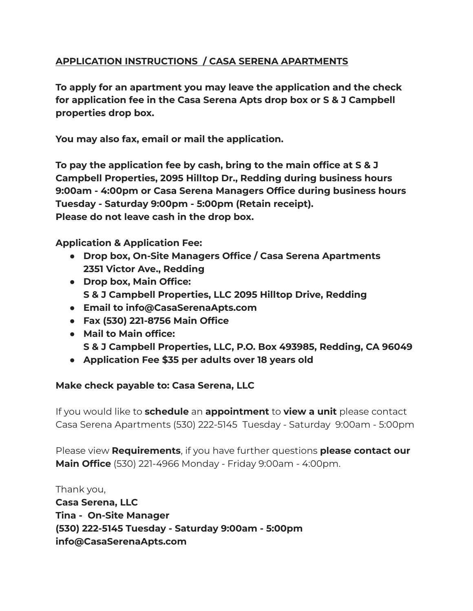### **APPLICATION INSTRUCTIONS / CASA SERENA APARTMENTS**

**To apply for an apartment you may leave the application and the check for application fee in the Casa Serena Apts drop box or S & J Campbell properties drop box.**

**You may also fax, email or mail the application.**

**To pay the application fee by cash, bring to the main office at S & J Campbell Properties, 2095 Hilltop Dr., Redding during business hours 9:00am - 4:00pm or Casa Serena Managers Office during business hours Tuesday - Saturday 9:00pm - 5:00pm (Retain receipt). Please do not leave cash in the drop box.**

**Application & Application Fee:**

- **● Drop box, On-Site Managers Office / Casa Serena Apartments 2351 Victor Ave., Redding**
- **● Drop box, Main Office: S & J Campbell Properties, LLC 2095 Hilltop Drive, Redding**
- **● Email to info@CasaSerenaApts.com**
- **● Fax (530) 221-8756 Main Office**
- **● Mail to Main office: S & J Campbell Properties, LLC, P.O. Box 493985, Redding, CA 96049**
- **● Application Fee \$35 per adults over 18 years old**

### **Make check payable to: Casa Serena, LLC**

If you would like to **schedule** an **appointment** to **view a unit** please contact Casa Serena Apartments (530) 222-5145 Tuesday - Saturday 9:00am - 5:00pm

Please view **Requirements**, if you have further questions **please contact our Main Office** (530) 221-4966 Monday - Friday 9:00am - 4:00pm.

Thank you, **Casa Serena, LLC Tina - On-Site Manager (530) 222-5145 Tuesday - Saturday 9:00am - 5:00pm info@CasaSerenaApts.com**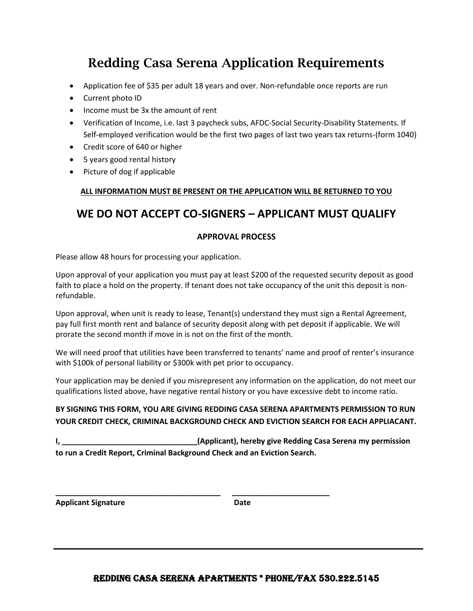# Redding Casa Serena Application Requirements

- Application fee of \$35 per adult 18 years and over. Non-refundable once reports are run
- Current photo ID
- Income must be 3x the amount of rent
- Verification of Income, i.e. last 3 paycheck subs, AFDC-Social Security-Disability Statements. If Self-employed verification would be the first two pages of last two years tax returns-(form 1040)
- Credit score of 640 or higher
- 5 years good rental history
- Picture of dog if applicable

#### **ALL INFORMATION MUST BE PRESENT OR THE APPLICATION WILL BE RETURNED TO YOU**

## **WE DO NOT ACCEPT CO-SIGNERS – APPLICANT MUST QUALIFY**

#### **APPROVAL PROCESS**

Please allow 48 hours for processing your application.

Upon approval of your application you must pay at least \$200 of the requested security deposit as good faith to place a hold on the property. If tenant does not take occupancy of the unit this deposit is nonrefundable.

Upon approval, when unit is ready to lease, Tenant(s) understand they must sign a Rental Agreement, pay full first month rent and balance of security deposit along with pet deposit if applicable. We will prorate the second month if move in is not on the first of the month.

We will need proof that utilities have been transferred to tenants' name and proof of renter's insurance with \$100k of personal liability or \$300k with pet prior to occupancy.

Your application may be denied if you misrepresent any information on the application, do not meet our qualifications listed above, have negative rental history or you have excessive debt to income ratio.

### **BY SIGNING THIS FORM, YOU ARE GIVING REDDING CASA SERENA APARTMENTS PERMISSION TO RUN YOUR CREDIT CHECK, CRIMINAL BACKGROUND CHECK AND EVICTION SEARCH FOR EACH APPLIACANT.**

**I, \_\_\_\_\_\_\_\_\_\_\_\_\_\_\_\_\_\_\_\_\_\_\_\_\_\_\_\_\_\_\_\_(Applicant), hereby give Redding Casa Serena my permission to run a Credit Report, Criminal Background Check and an Eviction Search.** 

**\_\_\_\_\_\_\_\_\_\_\_\_\_\_\_\_\_\_\_\_\_\_\_\_\_\_\_\_\_\_\_\_\_\_\_\_\_\_\_ \_\_\_\_\_\_\_\_\_\_\_\_\_\_\_\_\_\_\_\_\_\_\_**

Applicant Signature **Date** Date

### REDDING CASA SERENA APARTMENTS \* PHONE/FAX 530.222.5145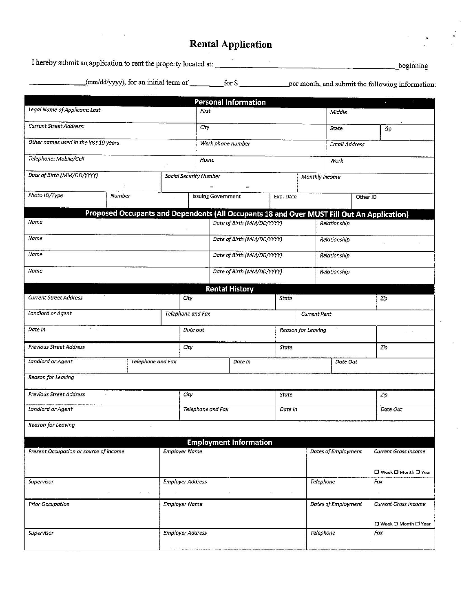# **Rental Application**

| <b>SAMA</b> | (mm/dd/yyyy), for an initial term of |  |         |
|-------------|--------------------------------------|--|---------|
|             |                                      |  | ------- |

|                                                                                                    |                      |         |                              |                               |                            | <b>Personal Information</b>   |              |                     |                     |                      | $\mathcal{L}$         |  |
|----------------------------------------------------------------------------------------------------|----------------------|---------|------------------------------|-------------------------------|----------------------------|-------------------------------|--------------|---------------------|---------------------|----------------------|-----------------------|--|
| Legal Name of Applicant: Last                                                                      |                      |         | First                        |                               |                            |                               |              | Middle              |                     |                      |                       |  |
| <b>Current Street Address:</b>                                                                     |                      |         | City                         |                               |                            |                               | State<br>Zip |                     |                     |                      |                       |  |
| Other names used in the last 10 years                                                              |                      |         |                              | Work phone number             |                            |                               |              | Email Address       |                     |                      |                       |  |
| Telephone: Mobile/Cell                                                                             |                      |         | Home                         |                               |                            |                               |              | Work                |                     |                      |                       |  |
| Date of Birth (MM/DD/YYYY)                                                                         |                      |         |                              | <b>Social Security Number</b> |                            |                               |              | Monthly income      |                     |                      |                       |  |
| Photo ID/Type                                                                                      | Number               |         | k,                           |                               | <b>Issuing Government</b>  |                               |              | Exp. Date           |                     | Other ID             |                       |  |
|                                                                                                    |                      |         |                              |                               |                            |                               |              |                     |                     |                      |                       |  |
| Proposed Occupants and Dependents (All Occupants 18 and Over MUST Fill Out An Application)<br>Name |                      |         |                              |                               |                            | Date of Birth (MM/DD/YYYY)    |              |                     | Relationship        |                      |                       |  |
| Name                                                                                               |                      |         | Date of Birth (MM/DD/YYYY)   |                               |                            |                               | Relationship |                     |                     |                      |                       |  |
| Name                                                                                               |                      |         | Date of Birth (MM/DD/YYYY)   |                               |                            |                               | Relationship |                     |                     |                      |                       |  |
| Name                                                                                               |                      |         |                              |                               | Date of Birth (MM/DD/YYYY) |                               |              |                     | Relationship        |                      |                       |  |
| <b>Rental History</b>                                                                              |                      |         |                              |                               |                            |                               |              |                     |                     |                      |                       |  |
| <b>Current Street Address</b>                                                                      |                      |         | City                         |                               | <b>State</b>               |                               |              |                     | Zip                 |                      |                       |  |
| Landlord or Agent                                                                                  |                      |         | Telephone and Fax            |                               |                            |                               |              | <b>Current Rent</b> |                     |                      |                       |  |
| Date In                                                                                            |                      |         | Date out                     |                               |                            | Reason for Leaving            |              |                     |                     |                      |                       |  |
| <b>Previous Street Address</b>                                                                     |                      |         | City                         |                               |                            | State                         |              |                     |                     | Zīp                  |                       |  |
| Landlord or Agent<br>Telephone and Fax                                                             |                      | Date In |                              |                               |                            | Date Out                      |              |                     |                     |                      |                       |  |
| Reason for Leaving                                                                                 |                      |         |                              |                               |                            |                               |              |                     |                     |                      |                       |  |
| <b>Previous Street Address</b>                                                                     |                      |         | City                         |                               |                            | State                         |              |                     |                     | Zip                  |                       |  |
| Landlord or Agent                                                                                  |                      |         | Telephone and Fax<br>Date In |                               |                            |                               |              | Date Out            |                     |                      |                       |  |
| Reason for Leaving                                                                                 |                      |         |                              |                               |                            |                               |              |                     |                     |                      |                       |  |
|                                                                                                    |                      |         |                              |                               |                            | <b>Employment Information</b> |              |                     |                     |                      |                       |  |
| Present Occupation or source of income<br><b>Employer Name</b>                                     |                      |         |                              |                               |                            |                               |              | Dates of Employment |                     | Current Gross Income |                       |  |
|                                                                                                    |                      |         |                              |                               |                            |                               |              |                     |                     |                      | □ Week □ Month □ Year |  |
| <b>Employer Address</b><br>Supervisor                                                              |                      |         |                              |                               |                            |                               | Telephone    |                     | Fax                 |                      |                       |  |
|                                                                                                    |                      | st.     |                              |                               |                            | $\sim$                        |              |                     |                     |                      |                       |  |
| Prior Occupation                                                                                   | <b>Employer Name</b> |         |                              |                               |                            |                               |              |                     | Dates of Employment |                      | Current Gross Income  |  |
|                                                                                                    |                      |         |                              |                               |                            |                               |              |                     | Telephone           |                      | □ Week □ Month □ Year |  |
| <b>Employer Address</b><br>Supervisor                                                              |                      |         |                              |                               |                            |                               |              |                     | Fax                 |                      |                       |  |